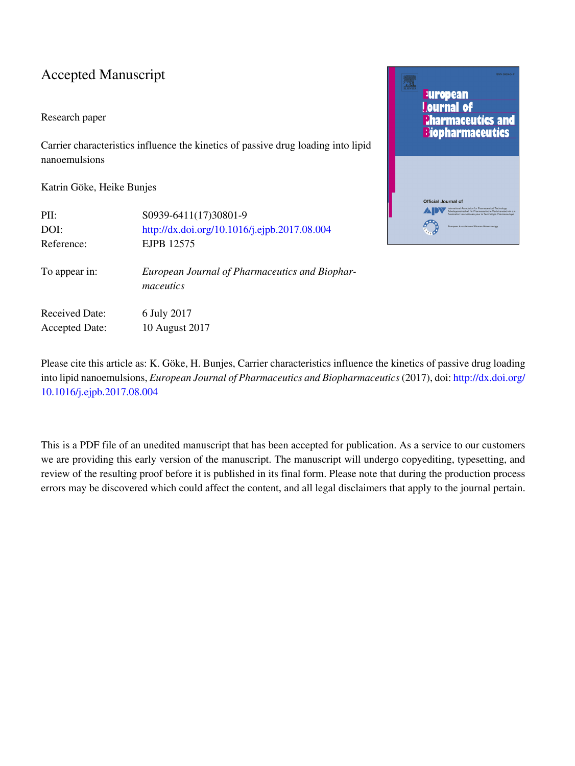#### Accepted Manuscript

#### Research paper

Carrier characteristics influence the kinetics of passive drug loading into lipid nanoemulsions

Katrin Göke, Heike Bunjes

| PII:                  | S0939-6411(17)30801-9                                       |
|-----------------------|-------------------------------------------------------------|
| DOI:                  | http://dx.doi.org/10.1016/j.ejpb.2017.08.004                |
| Reference:            | EJPB 12575                                                  |
| To appear in:         | European Journal of Pharmaceutics and Biophar-<br>maceutics |
| Received Date:        | 6 July 2017                                                 |
| <b>Accepted Date:</b> | 10 August 2017                                              |



Please cite this article as: K. Göke, H. Bunjes, Carrier characteristics influence the kinetics of passive drug loading into lipid nanoemulsions, *European Journal of Pharmaceutics and Biopharmaceutics* (2017), doi: [http://dx.doi.org/](http://dx.doi.org/http://dx.doi.org/10.1016/j.ejpb.2017.08.004) [10.1016/j.ejpb.2017.08.004](http://dx.doi.org/http://dx.doi.org/10.1016/j.ejpb.2017.08.004)

This is a PDF file of an unedited manuscript that has been accepted for publication. As a service to our customers we are providing this early version of the manuscript. The manuscript will undergo copyediting, typesetting, and review of the resulting proof before it is published in its final form. Please note that during the production process errors may be discovered which could affect the content, and all legal disclaimers that apply to the journal pertain.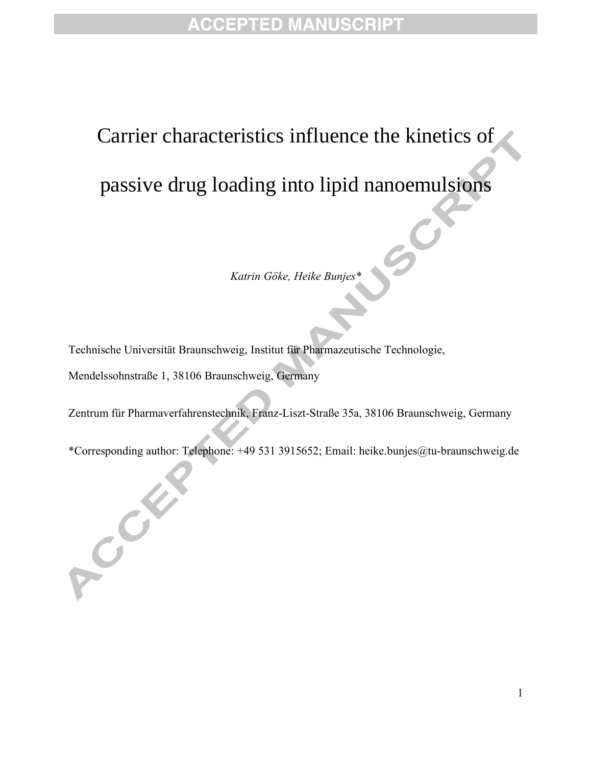### **ACCEPTED MANUSCRIPT**

# Carrier characteristics influence the kinetics of passive drug loading into lipid nanoemulsions

*Katrin Göke, Heike Bunjes\**

Technische Universität Braunschweig, Institut für Pharmazeutische Technologie,

Mendelssohnstraße 1, 38106 Braunschweig, Germany

ACCESS OF

Zentrum für Pharmaverfahrenstechnik, Franz-Liszt-Straße 35a, 38106 Braunschweig, Germany

\*Corresponding author: Telephone: +49 531 3915652; Email: heike.bunjes@tu-braunschweig.de